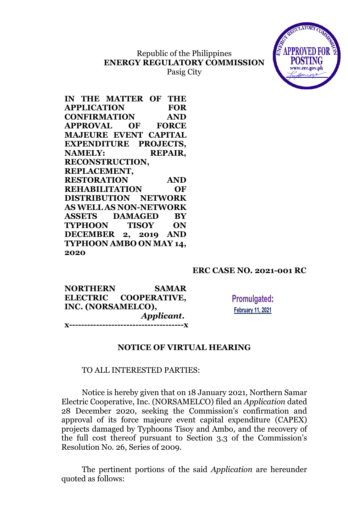## Republic of the Philippines **ENERGY REGULATORY COMMISSION** Pasig City



| IN THE MATTER OF THE              |  |
|-----------------------------------|--|
| <b>APPLICATION</b><br><b>FOR</b>  |  |
| <b>CONFIRMATION</b><br><b>AND</b> |  |
| <b>APPROVAL OF FORCE</b>          |  |
| <b>MAJEURE EVENT CAPITAL</b>      |  |
| <b>EXPENDITURE PROJECTS,</b>      |  |
| <b>REPAIR,</b><br><b>NAMELY:</b>  |  |
| <b>RECONSTRUCTION,</b>            |  |
| REPLACEMENT,                      |  |
|                                   |  |
| <b>RESTORATION</b><br><b>AND</b>  |  |
| <b>REHABILITATION</b><br>OF       |  |
| <b>DISTRIBUTION NETWORK</b>       |  |
| <b>AS WELL AS NON-NETWORK</b>     |  |
| <b>ASSETS DAMAGED BY</b>          |  |
| TYPHOON TISOY ON                  |  |
| DECEMBER 2, 2019 AND              |  |
| TYPHOON AMBO ON MAY 14,           |  |

## **ERC CASE NO. 2021-001 RC**

**NORTHERN SAMAR ELECTRIC COOPERATIVE, INC. (NORSAMELCO),** *Applicant***. x--------------------------------------x**

**Promulgated: February 11, 2021** 

### **NOTICE OF VIRTUAL HEARING**

### TO ALL INTERESTED PARTIES:

Notice is hereby given that on 18 January 2021, Northern Samar Electric Cooperative, Inc. (NORSAMELCO) filed an *Application* dated 28 December 2020, seeking the Commission's confirmation and approval of its force majeure event capital expenditure (CAPEX) projects damaged by Typhoons Tisoy and Ambo, and the recovery of the full cost thereof pursuant to Section 3.3 of the Commission's Resolution No. 26, Series of 2009.

The pertinent portions of the said *Application* are hereunder quoted as follows: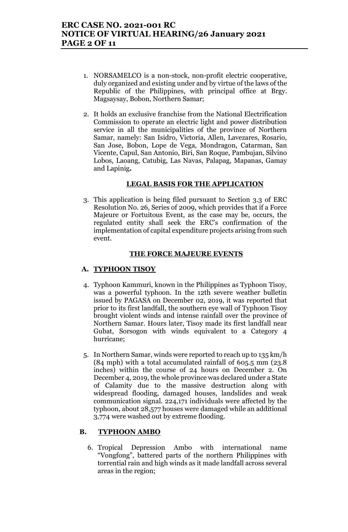- 1. NORSAMELCO is a non-stock, non-profit electric cooperative, duly organized and existing under and by virtue of the laws of the Republic of the Philippines, with principal office at Brgy. Magsaysay, Bobon, Northern Samar;
- 2. It holds an exclusive franchise from the National Electrification Commission to operate an electric light and power distribution service in all the municipalities of the province of Northern Samar, namely: San Isidro, Victoria, Allen, Lavezares, Rosario, San Jose, Bobon, Lope de Vega, Mondragon, Catarman, San Vicente, Capul, San Antonio, Biri, San Roque, Pambujan, Silvino Lobos, Laoang, Catubig, Las Navas, Palapag, Mapanas, Gamay and Lapinig*.*

### **LEGAL BASIS FOR THE APPLICATION**

3. This application is being filed pursuant to Section 3.3 of ERC Resolution No. 26, Series of 2009, which provides that if a Force Majeure or Fortuitous Event, as the case may be, occurs, the regulated entity shall seek the ERC's confirmation of the implementation of capital expenditure projects arising from such event.

#### **THE FORCE MAJEURE EVENTS**

### **A. TYPHOON TISOY**

- 4. Typhoon Kammuri, known in the Philippines as Typhoon Tisoy, was a powerful typhoon. In the 12th severe weather bulletin issued by PAGASA on December 02, 2019, it was reported that prior to its first landfall, the southern eye wall of Typhoon Tisoy brought violent winds and intense rainfall over the province of Northern Samar. Hours later, Tisoy made its first landfall near Gubat, Sorsogon with winds equivalent to a Category 4 hurricane;
- 5. In Northern Samar, winds were reported to reach up to 135 km/h (84 mph) with a total accumulated rainfall of 605.5 mm (23.8 inches) within the course of 24 hours on December 2. On December 4, 2019, the whole province was declared under a State of Calamity due to the massive destruction along with widespread flooding, damaged houses, landslides and weak communication signal. 224,171 individuals were affected by the typhoon, about 28,577 houses were damaged while an additional 3,774 were washed out by extreme flooding.

### **B. TYPHOON AMBO**

6. Tropical Depression Ambo with international name "Vongfong", battered parts of the northern Philippines with torrential rain and high winds as it made landfall across several areas in the region;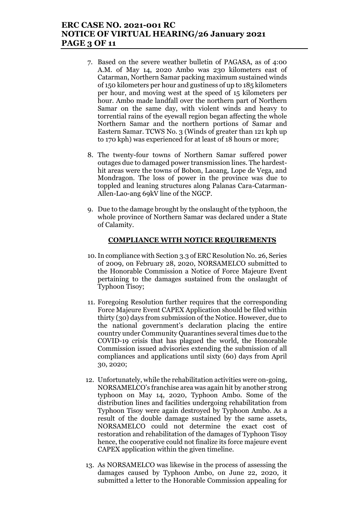## **ERC CASE NO. 2021-001 RC NOTICE OF VIRTUAL HEARING/26 January 2021 PAGE 3 OF 11**

- 7. Based on the severe weather bulletin of PAGASA, as of 4:00 A.M. of May 14, 2020 Ambo was 230 kilometers east of Catarman, Northern Samar packing maximum sustained winds of 150 kilometers per hour and gustiness of up to 185 kilometers per hour, and moving west at the speed of 15 kilometers per hour. Ambo made landfall over the northern part of Northern Samar on the same day, with violent winds and heavy to torrential rains of the eyewall region began affecting the whole Northern Samar and the northern portions of Samar and Eastern Samar. TCWS No. 3 (Winds of greater than 121 kph up to 170 kph) was experienced for at least of 18 hours or more;
- 8. The twenty-four towns of Northern Samar suffered power outages due to damaged power transmission lines. The hardesthit areas were the towns of Bobon, Laoang, Lope de Vega, and Mondragon. The loss of power in the province was due to toppled and leaning structures along Palanas Cara-Catarman-Allen-Lao-ang 69kV line of the NGCP.
- 9. Due to the damage brought by the onslaught of the typhoon, the whole province of Northern Samar was declared under a State of Calamity.

### **COMPLIANCE WITH NOTICE REQUIREMENTS**

- 10.In compliance with Section 3.3 of ERC Resolution No. 26, Series of 2009, on February 28, 2020, NORSAMELCO submitted to the Honorable Commission a Notice of Force Majeure Event pertaining to the damages sustained from the onslaught of Typhoon Tisoy;
- 11. Foregoing Resolution further requires that the corresponding Force Majeure Event CAPEX Application should be filed within thirty (30) days from submission of the Notice. However, due to the national government's declaration placing the entire country under Community Quarantines several times due to the COVID-19 crisis that has plagued the world, the Honorable Commission issued advisories extending the submission of all compliances and applications until sixty (60) days from April 30, 2020;
- 12. Unfortunately, while the rehabilitation activities were on-going, NORSAMELCO's franchise area was again hit by another strong typhoon on May 14, 2020, Typhoon Ambo. Some of the distribution lines and facilities undergoing rehabilitation from Typhoon Tisoy were again destroyed by Typhoon Ambo. As a result of the double damage sustained by the same assets, NORSAMELCO could not determine the exact cost of restoration and rehabilitation of the damages of Typhoon Tisoy hence, the cooperative could not finalize its force majeure event CAPEX application within the given timeline.
- 13. As NORSAMELCO was likewise in the process of assessing the damages caused by Typhoon Ambo, on June 22, 2020, it submitted a letter to the Honorable Commission appealing for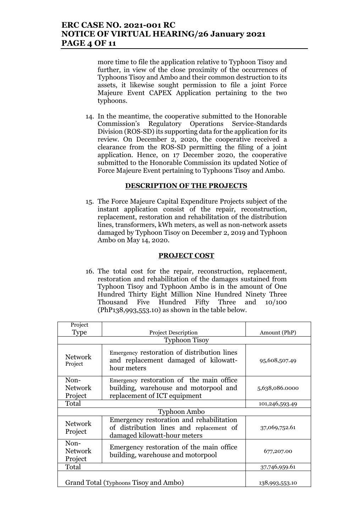## **ERC CASE NO. 2021-001 RC NOTICE OF VIRTUAL HEARING/26 January 2021 PAGE 4 OF 11**

more time to file the application relative to Typhoon Tisoy and further, in view of the close proximity of the occurrences of Typhoons Tisoy and Ambo and their common destruction to its assets, it likewise sought permission to file a joint Force Majeure Event CAPEX Application pertaining to the two typhoons.

14. In the meantime, the cooperative submitted to the Honorable Commission's Regulatory Operations Service-Standards Division (ROS-SD) its supporting data for the application for its review. On December 2, 2020, the cooperative received a clearance from the ROS-SD permitting the filing of a joint application. Hence, on 17 December 2020, the cooperative submitted to the Honorable Commission its updated Notice of Force Majeure Event pertaining to Typhoons Tisoy and Ambo.

#### **DESCRIPTION OF THE PROJECTS**

15. The Force Majeure Capital Expenditure Projects subject of the instant application consist of the repair, reconstruction, replacement, restoration and rehabilitation of the distribution lines, transformers, kWh meters, as well as non-network assets damaged by Typhoon Tisoy on December 2, 2019 and Typhoon Ambo on May 14, 2020.

#### **PROJECT COST**

16. The total cost for the repair, reconstruction, replacement, restoration and rehabilitation of the damages sustained from Typhoon Tisoy and Typhoon Ambo is in the amount of One Hundred Thirty Eight Million Nine Hundred Ninety Three Thousand Five Hundred Fifty Three and 10/100 (PhP138,993,553.10) as shown in the table below.

| Project                                                                                                             |                                                                                                                                     |                |  |  |  |
|---------------------------------------------------------------------------------------------------------------------|-------------------------------------------------------------------------------------------------------------------------------------|----------------|--|--|--|
| <b>Type</b><br><b>Project Description</b>                                                                           |                                                                                                                                     | Amount (PhP)   |  |  |  |
| <b>Typhoon Tisoy</b>                                                                                                |                                                                                                                                     |                |  |  |  |
| <b>Network</b><br>Project                                                                                           | Emergency restoration of distribution lines<br>and replacement damaged of kilowatt-<br>hour meters                                  | 95,608,507.49  |  |  |  |
| Non-<br><b>Network</b><br>Project                                                                                   | Emergency restoration of the main office<br>building, warehouse and motorpool and<br>5,638,086.0000<br>replacement of ICT equipment |                |  |  |  |
| Total                                                                                                               |                                                                                                                                     |                |  |  |  |
| <b>Typhoon Ambo</b>                                                                                                 |                                                                                                                                     |                |  |  |  |
| <b>Network</b><br>Project                                                                                           | Emergency restoration and rehabilitation<br>of distribution lines and replacement of<br>damaged kilowatt-hour meters                | 37,069,752.61  |  |  |  |
| Non-<br>Emergency restoration of the main office.<br><b>Network</b><br>building, warehouse and motorpool<br>Project |                                                                                                                                     | 677,207.00     |  |  |  |
| Total                                                                                                               |                                                                                                                                     | 37,746,959.61  |  |  |  |
|                                                                                                                     | Grand Total (Typhoons Tisoy and Ambo)                                                                                               | 138,993,553.10 |  |  |  |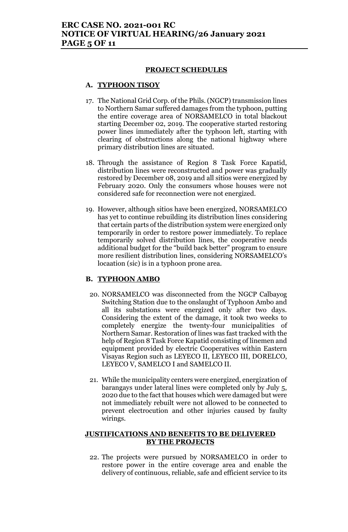#### **PROJECT SCHEDULES**

#### **A. TYPHOON TISOY**

- 17. The National Grid Corp. of the Phils. (NGCP) transmission lines to Northern Samar suffered damages from the typhoon, putting the entire coverage area of NORSAMELCO in total blackout starting December 02, 2019. The cooperative started restoring power lines immediately after the typhoon left, starting with clearing of obstructions along the national highway where primary distribution lines are situated.
- 18. Through the assistance of Region 8 Task Force Kapatid, distribution lines were reconstructed and power was gradually restored by December 08, 2019 and all sitios were energized by February 2020. Only the consumers whose houses were not considered safe for reconnection were not energized.
- 19. However, although sitios have been energized, NORSAMELCO has yet to continue rebuilding its distribution lines considering that certain parts of the distribution system were energized only temporarily in order to restore power immediately. To replace temporarily solved distribution lines, the cooperative needs additional budget for the "build back better" program to ensure more resilient distribution lines, considering NORSAMELCO's locaation (sic) is in a typhoon prone area.

#### **B. TYPHOON AMBO**

- 20. NORSAMELCO was disconnected from the NGCP Calbayog Switching Station due to the onslaught of Typhoon Ambo and all its substations were energized only after two days. Considering the extent of the damage, it took two weeks to completely energize the twenty-four municipalities of Northern Samar. Restoration of lines was fast tracked with the help of Region 8 Task Force Kapatid consisting of linemen and equipment provided by electric Cooperatives within Eastern Visayas Region such as LEYECO II, LEYECO III, DORELCO, LEYECO V, SAMELCO I and SAMELCO II.
- 21. While the municipality centers were energized, energization of barangays under lateral lines were completed only by July 5, 2020 due to the fact that houses which were damaged but were not immediately rebuilt were not allowed to be connected to prevent electrocution and other injuries caused by faulty wirings.

### **JUSTIFICATIONS AND BENEFITS TO BE DELIVERED BY THE PROJECTS**

22. The projects were pursued by NORSAMELCO in order to restore power in the entire coverage area and enable the delivery of continuous, reliable, safe and efficient service to its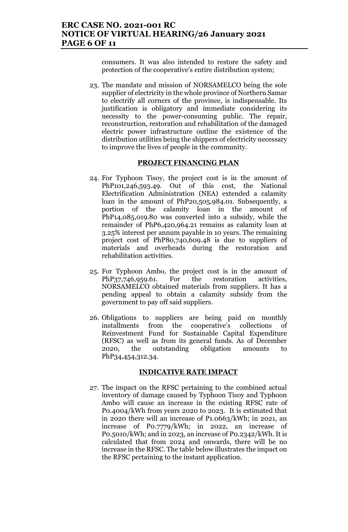consumers. It was also intended to restore the safety and protection of the cooperative's entire distribution system;

23. The mandate and mission of NORSAMELCO being the sole supplier of electricity in the whole province of Northern Samar to electrify all corners of the province, is indispensable. Its justification is obligatory and immediate considering its necessity to the power-consuming public. The repair, reconstruction, restoration and rehabilitation of the damaged electric power infrastructure outline the existence of the distribution utilities being the shippers of electricity necessary to improve the lives of people in the community.

#### **PROJECT FINANCING PLAN**

- 24. For Typhoon Tisoy, the project cost is in the amount of PhP101,246,593.49. Out of this cost, the National Electrification Administration (NEA) extended a calamity loan in the amount of PhP20,505,984.01. Subsequently, a portion of the calamity loan in the amount of PhP14,085,019.80 was converted into a subsidy, while the remainder of PhP6,420,964.21 remains as calamity loan at 3.25% interest per annum payable in 10 years. The remaining project cost of PhP80,740,609.48 is due to suppliers of materials and overheads during the restoration and rehabilitation activities.
- 25. For Typhoon Ambo, the project cost is in the amount of PhP37,746,959.61. For the restoration activities, NORSAMELCO obtained materials from suppliers. It has a pending appeal to obtain a calamity subsidy from the government to pay off said suppliers.
- 26. Obligations to suppliers are being paid on monthly installments from the cooperative's collections of Reinvestment Fund for Sustainable Capital Expenditure (RFSC) as well as from its general funds. As of December 2020, the outstanding obligation amounts to PhP34,454,312.34.

#### **INDICATIVE RATE IMPACT**

27. The impact on the RFSC pertaining to the combined actual inventory of damage caused by Typhoon Tisoy and Typhoon Ambo will cause an increase in the existing RFSC rate of P0.4004/kWh from years 2020 to 2023. It is estimated that in 2020 there will an increase of P1.0663/kWh; in 2021, an increase of P0.7779/kWh; in 2022, an increase of P0.5010/kWh; and in 2023, an increase of P0.2342/kWh. It is calculated that from 2024 and onwards, there will be no increase in the RFSC. The table below illustrates the impact on the RFSC pertaining to the instant application.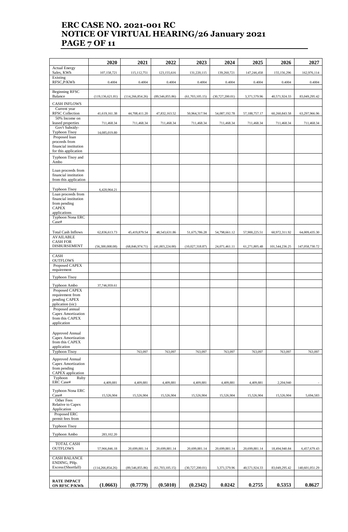# **ERC CASE NO. 2021-001 RC NOTICE OF VIRTUAL HEARING/26 January 2021 PAGE 7 OF 11**

| <b>Actual Energy</b><br>Sales, KWh<br>107,158,721<br>123,155,616<br>131,220,115<br>139,260,721<br>147,246,458<br>115, 112, 751<br>155,156,296<br>Existing<br>RFSC, P/KWh<br>0.4004<br>0.4004<br>0.4004<br>0.4004<br>0.4004<br>0.4004<br>0.4004<br><b>Beginning RFSC</b><br>Balance<br>(119, 136, 621.81)<br>(114, 266, 854.26)<br>(89, 546, 855.86)<br>(61, 703, 105.15)<br>(30, 727, 200.01)<br>3,371,579.96<br>40,571,924.33<br><b>CASH INFLOWS</b><br>Current year<br><b>RFSC</b> Collection<br>41,619,161.38<br>44,708,411.20<br>47,832,163.52<br>50,964,317.94<br>54,087,192.78<br>57,188,757.17<br>60,260,843.58<br>50% Income on<br>leased properties<br>711,468.34<br>711,468.34<br>711,468.34<br>711,468.34<br>711,468.34<br>711,468.34<br>711,468.34<br>Gov't Subsidy-<br><b>Typhoon Tisoy</b><br>14,085,019.80<br>Proposed loan<br>proceeds from<br>financial institution<br>for this application<br>Typhoon Tisoy and | 162,976,114<br>0.4004<br>83,049,295.42<br>63,297,966.96<br>711,468.34 |
|-----------------------------------------------------------------------------------------------------------------------------------------------------------------------------------------------------------------------------------------------------------------------------------------------------------------------------------------------------------------------------------------------------------------------------------------------------------------------------------------------------------------------------------------------------------------------------------------------------------------------------------------------------------------------------------------------------------------------------------------------------------------------------------------------------------------------------------------------------------------------------------------------------------------------------------|-----------------------------------------------------------------------|
|                                                                                                                                                                                                                                                                                                                                                                                                                                                                                                                                                                                                                                                                                                                                                                                                                                                                                                                                   |                                                                       |
|                                                                                                                                                                                                                                                                                                                                                                                                                                                                                                                                                                                                                                                                                                                                                                                                                                                                                                                                   |                                                                       |
|                                                                                                                                                                                                                                                                                                                                                                                                                                                                                                                                                                                                                                                                                                                                                                                                                                                                                                                                   |                                                                       |
|                                                                                                                                                                                                                                                                                                                                                                                                                                                                                                                                                                                                                                                                                                                                                                                                                                                                                                                                   |                                                                       |
|                                                                                                                                                                                                                                                                                                                                                                                                                                                                                                                                                                                                                                                                                                                                                                                                                                                                                                                                   |                                                                       |
|                                                                                                                                                                                                                                                                                                                                                                                                                                                                                                                                                                                                                                                                                                                                                                                                                                                                                                                                   |                                                                       |
|                                                                                                                                                                                                                                                                                                                                                                                                                                                                                                                                                                                                                                                                                                                                                                                                                                                                                                                                   |                                                                       |
|                                                                                                                                                                                                                                                                                                                                                                                                                                                                                                                                                                                                                                                                                                                                                                                                                                                                                                                                   |                                                                       |
|                                                                                                                                                                                                                                                                                                                                                                                                                                                                                                                                                                                                                                                                                                                                                                                                                                                                                                                                   |                                                                       |
| Ambo                                                                                                                                                                                                                                                                                                                                                                                                                                                                                                                                                                                                                                                                                                                                                                                                                                                                                                                              |                                                                       |
| Loan proceeds from<br>financial institution<br>from this application                                                                                                                                                                                                                                                                                                                                                                                                                                                                                                                                                                                                                                                                                                                                                                                                                                                              |                                                                       |
| <b>Typhoon Tisoy</b><br>6,420,964.21                                                                                                                                                                                                                                                                                                                                                                                                                                                                                                                                                                                                                                                                                                                                                                                                                                                                                              |                                                                       |
| Loan proceeds from<br>financial institution<br>from pending<br><b>CAPEX</b>                                                                                                                                                                                                                                                                                                                                                                                                                                                                                                                                                                                                                                                                                                                                                                                                                                                       |                                                                       |
| applications<br>Typhoon Nona ERC<br>Case#                                                                                                                                                                                                                                                                                                                                                                                                                                                                                                                                                                                                                                                                                                                                                                                                                                                                                         |                                                                       |
| <b>Total Cash Inflows</b><br>62,836,613.73<br>45,419,879.54<br>48,543,631.86<br>51,675,786.28<br>54,798,661.12<br>57,900,225.51<br>60,972,311.92                                                                                                                                                                                                                                                                                                                                                                                                                                                                                                                                                                                                                                                                                                                                                                                  | 64,009,435.30                                                         |
| <b>AVAILABLE</b><br><b>CASH FOR</b>                                                                                                                                                                                                                                                                                                                                                                                                                                                                                                                                                                                                                                                                                                                                                                                                                                                                                               |                                                                       |
| <b>DISBURSEMENT</b><br>(56,300,008.08)<br>(68, 846, 974.71)<br>(41,003,224.00)<br>(10,027,318.87)<br>24,071,461.11<br>61,271,805.48<br>101,544,236.25                                                                                                                                                                                                                                                                                                                                                                                                                                                                                                                                                                                                                                                                                                                                                                             | 147,058,730.72                                                        |
| CASH<br><b>OUTFLOWS</b>                                                                                                                                                                                                                                                                                                                                                                                                                                                                                                                                                                                                                                                                                                                                                                                                                                                                                                           |                                                                       |
| Proposed CAPEX<br>requirement                                                                                                                                                                                                                                                                                                                                                                                                                                                                                                                                                                                                                                                                                                                                                                                                                                                                                                     |                                                                       |
| <b>Typhoon Tisoy</b>                                                                                                                                                                                                                                                                                                                                                                                                                                                                                                                                                                                                                                                                                                                                                                                                                                                                                                              |                                                                       |
| Typhoon Ambo<br>37,746,959.61                                                                                                                                                                                                                                                                                                                                                                                                                                                                                                                                                                                                                                                                                                                                                                                                                                                                                                     |                                                                       |
| Proposed CAPEX<br>requirement from<br>pending CAPEX<br>pplication (sic)                                                                                                                                                                                                                                                                                                                                                                                                                                                                                                                                                                                                                                                                                                                                                                                                                                                           |                                                                       |
| Proposed annual                                                                                                                                                                                                                                                                                                                                                                                                                                                                                                                                                                                                                                                                                                                                                                                                                                                                                                                   |                                                                       |
| Capex Amortization<br>from this CAPEX<br>application                                                                                                                                                                                                                                                                                                                                                                                                                                                                                                                                                                                                                                                                                                                                                                                                                                                                              |                                                                       |
| Approved Annual<br>Capex Amortization<br>from this CAPEX<br>application                                                                                                                                                                                                                                                                                                                                                                                                                                                                                                                                                                                                                                                                                                                                                                                                                                                           |                                                                       |
| <b>Typhoon Tisoy</b><br>763,097<br>763,097<br>763,097<br>763,097<br>763,097<br>763,097                                                                                                                                                                                                                                                                                                                                                                                                                                                                                                                                                                                                                                                                                                                                                                                                                                            | 763,097                                                               |
| Approved Annual<br>Capex Amortization<br>from pending<br>CAPEX application                                                                                                                                                                                                                                                                                                                                                                                                                                                                                                                                                                                                                                                                                                                                                                                                                                                        |                                                                       |
| Typhoon<br>Ruby<br><b>ERC</b> Case#<br>4,409,881<br>4,409,881<br>4,409,881<br>4,409,881<br>4,409,881<br>4,409,881<br>2,204,940                                                                                                                                                                                                                                                                                                                                                                                                                                                                                                                                                                                                                                                                                                                                                                                                    |                                                                       |
| Typhoon Nona ERC<br>Case#<br>15,526,904<br>15,526,904<br>15,526,904<br>15,526,904<br>15,526,904<br>15,526,904<br>15,526,904                                                                                                                                                                                                                                                                                                                                                                                                                                                                                                                                                                                                                                                                                                                                                                                                       | 5,694,583                                                             |
| Other Fees<br>Relative to Capex<br>Application                                                                                                                                                                                                                                                                                                                                                                                                                                                                                                                                                                                                                                                                                                                                                                                                                                                                                    |                                                                       |
| Proposed ERC<br>permit fees from                                                                                                                                                                                                                                                                                                                                                                                                                                                                                                                                                                                                                                                                                                                                                                                                                                                                                                  |                                                                       |
| <b>Typhoon Tisoy</b>                                                                                                                                                                                                                                                                                                                                                                                                                                                                                                                                                                                                                                                                                                                                                                                                                                                                                                              |                                                                       |
| Typhoon Ambo<br>283,102.20                                                                                                                                                                                                                                                                                                                                                                                                                                                                                                                                                                                                                                                                                                                                                                                                                                                                                                        |                                                                       |
| <b>TOTAL CASH</b><br><b>OUTFLOWS</b><br>57,966,846.18<br>20,699,881.14<br>20,699,881.14<br>20,699,881.14<br>20,699,881.14<br>20,699,881.14<br>18,494,940.84                                                                                                                                                                                                                                                                                                                                                                                                                                                                                                                                                                                                                                                                                                                                                                       | 6,457,679.43                                                          |
| <b>CASH BALANCE</b><br>ENDING, PHp.<br>Excess/(Shortfall)<br>(114, 266, 854.26)<br>(89, 546, 855.86)<br>(61,703,105.15)<br>(30,727,200.01)<br>3,371,579.96<br>40,571,924.33<br>83,049,295.42                                                                                                                                                                                                                                                                                                                                                                                                                                                                                                                                                                                                                                                                                                                                      | 140,601,051.29                                                        |
| <b>RATE IMPACT</b><br>(1.0663)<br>(0.2342)<br>0.2755<br>0.5353<br>(0.7779)<br>(0.5010)<br>0.0242<br>ON RFSC P/KWh                                                                                                                                                                                                                                                                                                                                                                                                                                                                                                                                                                                                                                                                                                                                                                                                                 |                                                                       |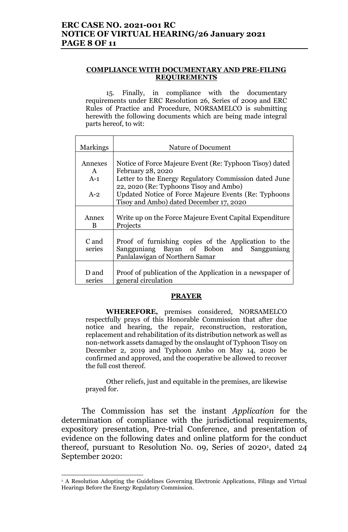## **ERC CASE NO. 2021-001 RC NOTICE OF VIRTUAL HEARING/26 January 2021 PAGE 8 OF 11**

#### **COMPLIANCE WITH DOCUMENTARY AND PRE-FILING REQUIREMENTS**

15. Finally, in compliance with the documentary requirements under ERC Resolution 26, Series of 2009 and ERC Rules of Practice and Procedure, NORSAMELCO is submitting herewith the following documents which are being made integral parts hereof, to wit:

| <b>Markings</b> | Nature of Document                                        |  |  |
|-----------------|-----------------------------------------------------------|--|--|
| Annexes         | Notice of Force Majeure Event (Re: Typhoon Tisoy) dated   |  |  |
| $\mathsf{A}$    | February 28, 2020                                         |  |  |
| $A-1$           | Letter to the Energy Regulatory Commission dated June     |  |  |
|                 | 22, 2020 (Re: Typhoons Tisoy and Ambo)                    |  |  |
| $A-2$           | Updated Notice of Force Majeure Events (Re: Typhoons      |  |  |
|                 | Tisoy and Ambo) dated December 17, 2020                   |  |  |
|                 |                                                           |  |  |
| Annex           | Write up on the Force Majeure Event Capital Expenditure   |  |  |
| B               | Projects                                                  |  |  |
| C and           | Proof of furnishing copies of the Application to the      |  |  |
| series          | Sangguniang Bayan of Bobon and Sangguniang                |  |  |
|                 | Panlalawigan of Northern Samar                            |  |  |
|                 |                                                           |  |  |
| D and           | Proof of publication of the Application in a newspaper of |  |  |
| series          | general circulation                                       |  |  |

#### **PRAYER**

**WHEREFORE,** premises considered, NORSAMELCO respectfully prays of this Honorable Commission that after due notice and hearing, the repair, reconstruction, restoration, replacement and rehabilitation of its distribution network as well as non-network assets damaged by the onslaught of Typhoon Tisoy on December 2, 2019 and Typhoon Ambo on May 14, 2020 be confirmed and approved, and the cooperative be allowed to recover the full cost thereof.

Other reliefs, just and equitable in the premises, are likewise prayed for.

The Commission has set the instant *Application* for the determination of compliance with the jurisdictional requirements, expository presentation, Pre-trial Conference, and presentation of evidence on the following dates and online platform for the conduct thereof, pursuant to Resolution No. 09, Series 0f 2020<sup>1</sup> , dated 24 September 2020:

 $\overline{a}$ 

<sup>&</sup>lt;sup>1</sup> A Resolution Adopting the Guidelines Governing Electronic Applications, Filings and Virtual Hearings Before the Energy Regulatory Commission.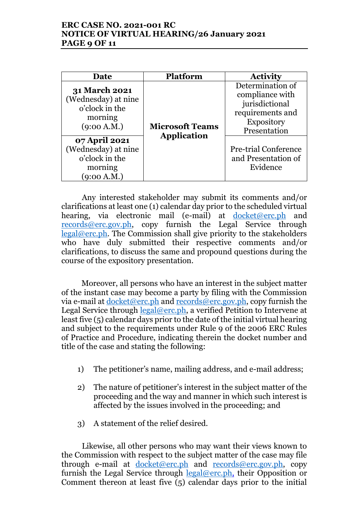## **ERC CASE NO. 2021-001 RC NOTICE OF VIRTUAL HEARING/26 January 2021 PAGE 9 OF 11**

| Date                                                                                    | <b>Platform</b>        |                                                                                                                |
|-----------------------------------------------------------------------------------------|------------------------|----------------------------------------------------------------------------------------------------------------|
|                                                                                         |                        | <b>Activity</b>                                                                                                |
| <b>31 March 2021</b><br>(Wednesday) at nine<br>o'clock in the<br>morning<br>(9:00 A.M.) | <b>Microsoft Teams</b> | Determination of<br>compliance with<br>jurisdictional<br>requirements and<br><b>Expository</b><br>Presentation |
| 07 April 2021<br>(Wednesday) at nine<br>o'clock in the<br>morning<br>(9:00 A.M.)        | <b>Application</b>     | <b>Pre-trial Conference</b><br>and Presentation of<br>Evidence                                                 |

Any interested stakeholder may submit its comments and/or clarifications at least one (1) calendar day prior to the scheduled virtual hearing, via electronic mail (e-mail) at docket@erc.ph and records@erc.gov.ph, copy furnish the Legal Service through legal@erc.ph. The Commission shall give priority to the stakeholders who have duly submitted their respective comments and/or clarifications, to discuss the same and propound questions during the course of the expository presentation.

Moreover, all persons who have an interest in the subject matter of the instant case may become a party by filing with the Commission via e-mail at docket@erc.ph and records@erc.gov.ph, copy furnish the Legal Service through  $\frac{\text{legal@erc.ph}}{\text{Real@erc.ph}}$ , a verified Petition to Intervene at least five (5) calendar days prior to the date of the initial virtual hearing and subject to the requirements under Rule 9 of the 2006 ERC Rules of Practice and Procedure, indicating therein the docket number and title of the case and stating the following:

- 1) The petitioner's name, mailing address, and e-mail address;
- 2) The nature of petitioner's interest in the subject matter of the proceeding and the way and manner in which such interest is affected by the issues involved in the proceeding; and
- 3) A statement of the relief desired.

Likewise, all other persons who may want their views known to the Commission with respect to the subject matter of the case may file through e-mail at docket@erc.ph and records@erc.gov.ph, copy furnish the Legal Service through  $\text{legal@erc.ph},$  their Opposition or Comment thereon at least five (5) calendar days prior to the initial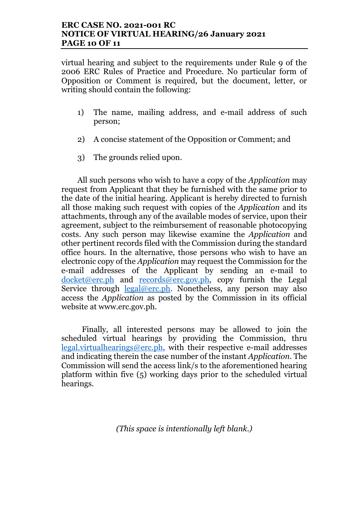virtual hearing and subject to the requirements under Rule 9 of the 2006 ERC Rules of Practice and Procedure. No particular form of Opposition or Comment is required, but the document, letter, or writing should contain the following:

- 1) The name, mailing address, and e-mail address of such person;
- 2) A concise statement of the Opposition or Comment; and
- 3) The grounds relied upon.

All such persons who wish to have a copy of the *Application* may request from Applicant that they be furnished with the same prior to the date of the initial hearing. Applicant is hereby directed to furnish all those making such request with copies of the *Application* and its attachments, through any of the available modes of service, upon their agreement, subject to the reimbursement of reasonable photocopying costs. Any such person may likewise examine the *Application* and other pertinent records filed with the Commission during the standard office hours. In the alternative, those persons who wish to have an electronic copy of the *Application* may request the Commission for the e-mail addresses of the Applicant by sending an e-mail to  $docket@erc.php$  and  $records@erc.gov.php$ , copy furnish the Legal</u> Service through  $\text{legal@erc.ph.}$  Nonetheless, any person may also access the *Application* as posted by the Commission in its official website at www.erc.gov.ph.

Finally, all interested persons may be allowed to join the scheduled virtual hearings by providing the Commission, thru legal.virtualhearings@erc.ph, with their respective e-mail addresses and indicating therein the case number of the instant *Application*. The Commission will send the access link/s to the aforementioned hearing platform within five (5) working days prior to the scheduled virtual hearings.

*(This space is intentionally left blank.)*